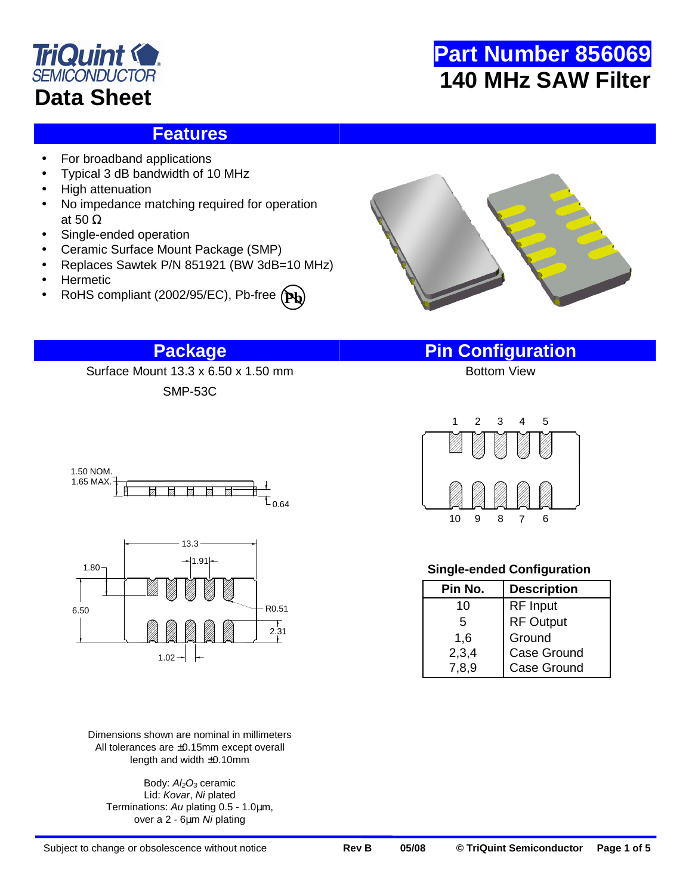

### **Features**

- For broadband applications
- Typical 3 dB bandwidth of 10 MHz
- High attenuation
- No impedance matching required for operation at 50 Ω
- Single-ended operation
- Ceramic Surface Mount Package (SMP)
- Replaces Sawtek P/N 851921 (BW 3dB=10 MHz)

SMP-53C

- Hermetic
- RoHS compliant (2002/95/EC), Pb-free **Pb**



## **Package Pin Configuration**

Surface Mount 13.3 x 6.50 x 1.50 mm



Dimensions shown are nominal in millimeters All tolerances are ±0.15mm except overall length and width ±0.10mm

Body: Al<sub>2</sub>O<sub>3</sub> ceramic Lid: Kovar, Ni plated Terminations: Au plating 0.5 - 1.0µm, over a 2 - 6µm Ni plating



### **Single-ended Configuration**

| Pin No. | <b>Description</b> |
|---------|--------------------|
| 10      | <b>RF</b> Input    |
| 5       | <b>RF Output</b>   |
| 1,6     | Ground             |
| 2,3,4   | Case Ground        |
| 7,8,9   | <b>Case Ground</b> |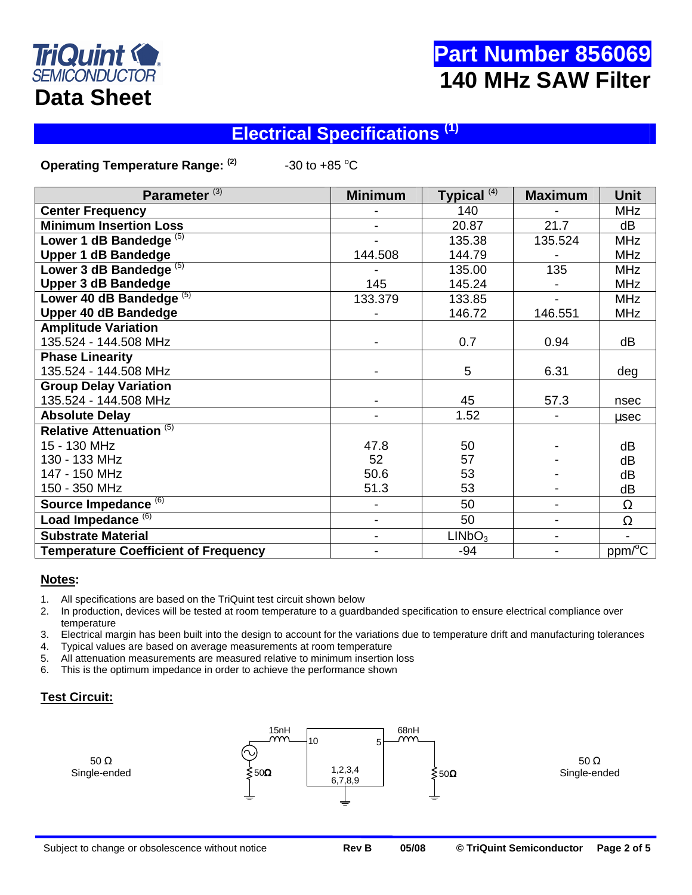

## **Electrical Specifications (1)**

**Operating Temperature Range:**  $^{(2)}$  **430 to +85 °C** 

| Parameter <sup>(3)</sup>                    | <b>Minimum</b> | Typical <sup>(4)</sup> | <b>Maximum</b>               | <b>Unit</b>       |
|---------------------------------------------|----------------|------------------------|------------------------------|-------------------|
| <b>Center Frequency</b>                     |                | 140                    |                              | <b>MHz</b>        |
| <b>Minimum Insertion Loss</b>               |                | 20.87                  | 21.7                         | dB                |
| Lower 1 dB Bandedge $(5)$                   |                | 135.38                 | 135.524                      | <b>MHz</b>        |
| <b>Upper 1 dB Bandedge</b>                  | 144.508        | 144.79                 |                              | <b>MHz</b>        |
| Lower 3 dB Bandedge <sup>(5)</sup>          |                | 135.00                 | 135                          | <b>MHz</b>        |
| <b>Upper 3 dB Bandedge</b>                  | 145            | 145.24                 |                              | <b>MHz</b>        |
| Lower 40 dB Bandedge <sup>(5)</sup>         | 133.379        | 133.85                 | $\overline{\phantom{a}}$     | <b>MHz</b>        |
| <b>Upper 40 dB Bandedge</b>                 |                | 146.72                 | 146.551                      | <b>MHz</b>        |
| <b>Amplitude Variation</b>                  |                |                        |                              |                   |
| 135.524 - 144.508 MHz                       |                | 0.7                    | 0.94                         | dB                |
| <b>Phase Linearity</b>                      |                |                        |                              |                   |
| 135.524 - 144.508 MHz                       |                | 5                      | 6.31                         | deg               |
| <b>Group Delay Variation</b>                |                |                        |                              |                   |
| 135.524 - 144.508 MHz                       |                | 45                     | 57.3                         | nsec              |
| <b>Absolute Delay</b>                       |                | 1.52                   | $\overline{\phantom{0}}$     | usec              |
| <b>Relative Attenuation (5)</b>             |                |                        |                              |                   |
| 15 - 130 MHz                                | 47.8           | 50                     |                              | dB                |
| 130 - 133 MHz                               | 52             | 57                     |                              | dB                |
| 147 - 150 MHz                               | 50.6           | 53                     |                              | dB                |
| 150 - 350 MHz                               | 51.3           | 53                     |                              | dB                |
| Source Impedance <sup>(6)</sup>             | $\blacksquare$ | 50                     | $\overline{\phantom{0}}$     | $\Omega$          |
| Load Impedance <sup>(6)</sup>               | $\blacksquare$ | 50                     | $\overline{\phantom{0}}$     | $\Omega$          |
| <b>Substrate Material</b>                   | $\blacksquare$ | LINbO <sub>3</sub>     | $\qquad \qquad \blacksquare$ |                   |
| <b>Temperature Coefficient of Frequency</b> |                | -94                    | $\overline{\phantom{a}}$     | $ppm\overline{C}$ |

#### **Notes:**

- 1. All specifications are based on the TriQuint test circuit shown below
- 2. In production, devices will be tested at room temperature to a guardbanded specification to ensure electrical compliance over temperature
- 3. Electrical margin has been built into the design to account for the variations due to temperature drift and manufacturing tolerances
- 4. Typical values are based on average measurements at room temperature
- 5. All attenuation measurements are measured relative to minimum insertion loss
- 6. This is the optimum impedance in order to achieve the performance shown

### **Test Circuit:**

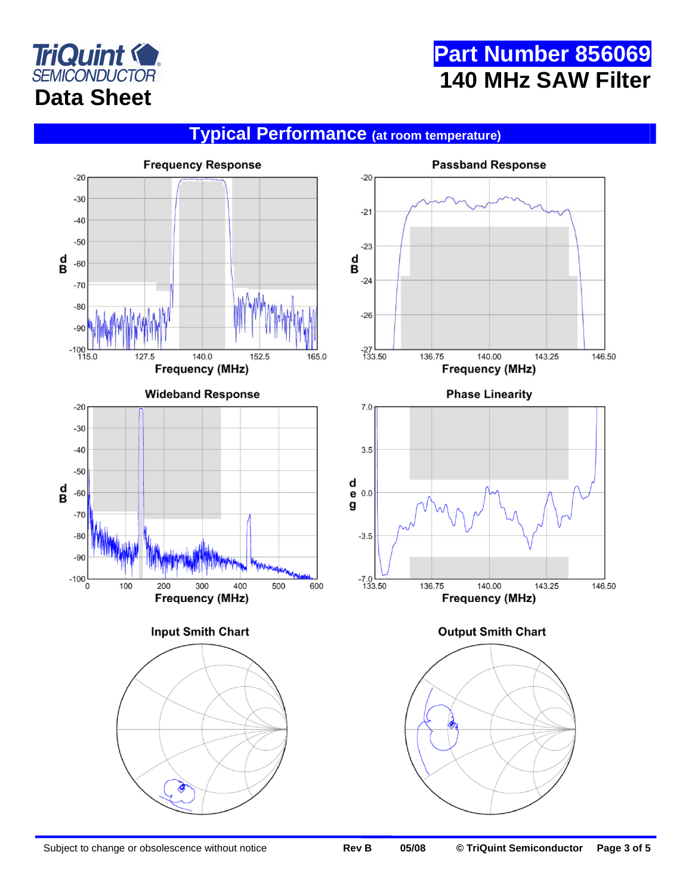

## **Typical Performance (at room temperature)**

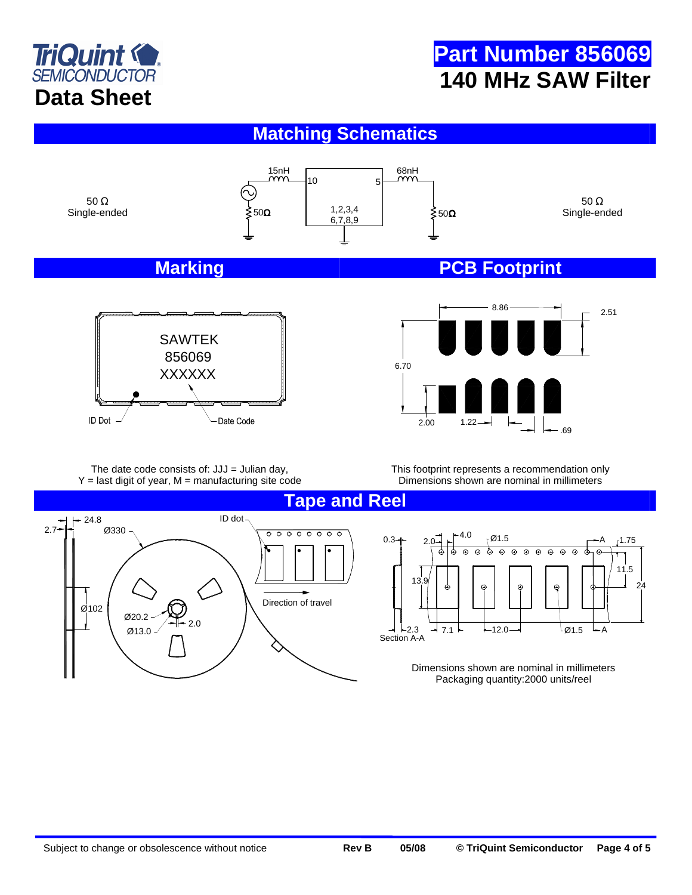

## **Matching Schematics**





2.51 6.70 8.86 .69 2.00 1.22

The date code consists of:  $JJJ =$  Julian day,  $Y =$  last digit of year,  $M =$  manufacturing site code This footprint represents a recommendation only Dimensions shown are nominal in millimeters

**Tape and Reel** 

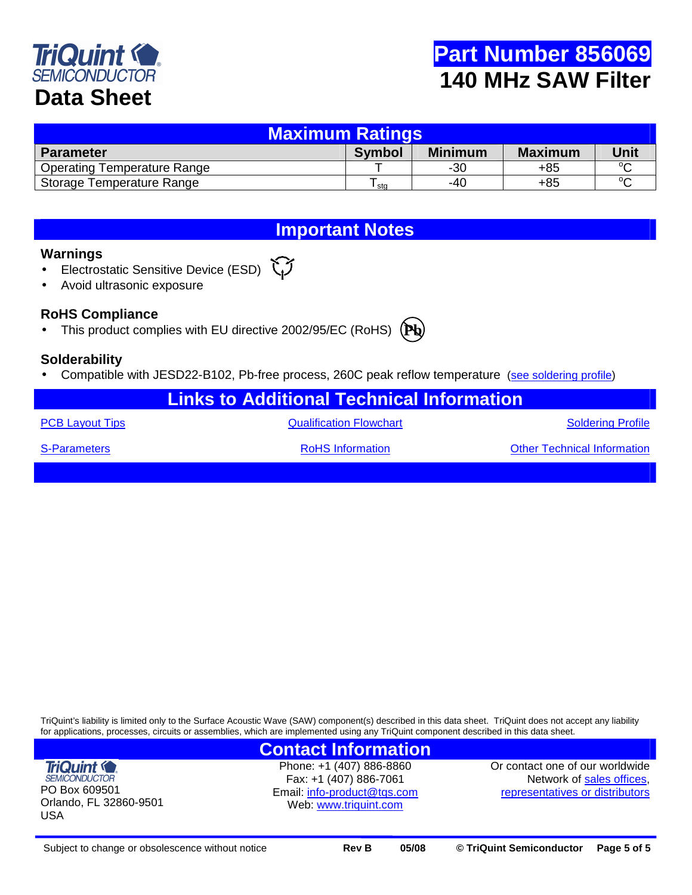

| <b>Maximum Ratings</b>             |               |                |                |             |  |  |  |  |
|------------------------------------|---------------|----------------|----------------|-------------|--|--|--|--|
| <b>Parameter</b>                   | <b>Symbol</b> | <b>Minimum</b> | <b>Maximum</b> | <b>Unit</b> |  |  |  |  |
| <b>Operating Temperature Range</b> |               | $-30$          | $+85$          | $\sim$      |  |  |  |  |
| Storage Temperature Range          | sta           | -40            | $+85$          | $\sim$      |  |  |  |  |

## **Important Notes**

#### **Warnings**

- Electrostatic Sensitive Device (ESD)  $\check{\mathbf{C}}$
- Avoid ultrasonic exposure

### **RoHS Compliance**

• This product complies with EU directive 2002/95/EC (RoHS) **Pb**

### **Solderability**

- Compatible with JESD22-B102, Pb-free process, 260C peak reflow temperature (see soldering profile)
	- **Links to Additional Technical Information**

PCB Layout Tips **CONFINGITY CONSTRUSTER CONTROLLY A CONSTRUSTED Soldering Profile** 

S-Parameters **RoHS Information** RoHS Information **Characters** Other Technical Information

TriQuint's liability is limited only to the Surface Acoustic Wave (SAW) component(s) described in this data sheet. TriQuint does not accept any liability for applications, processes, circuits or assemblies, which are implemented using any TriQuint component described in this data sheet.

## **Contact Information**

**TriQuint (C) SEMICONDUCTOR** PO Box 609501 Orlando, FL 32860-9501 USA

Phone: +1 (407) 886-8860 Fax: +1 (407) 886-7061 Email: info-product@tqs.com Web: www.triquint.com

Or contact one of our worldwide Network of sales offices, representatives or distributors